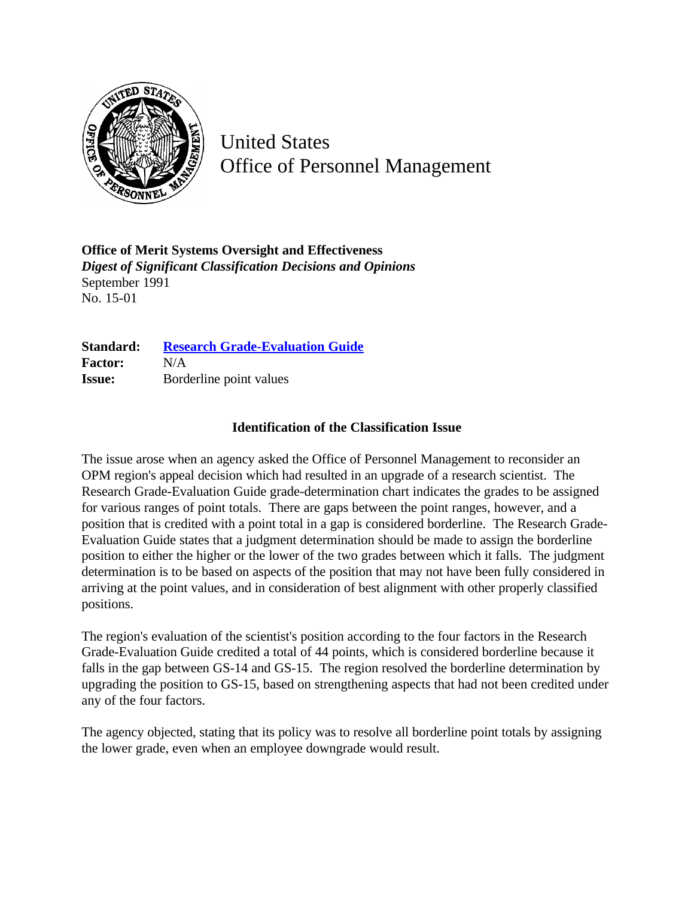

United States Office of Personnel Management

**Office of Merit Systems Oversight and Effectiveness** *Digest of Significant Classification Decisions and Opinions* September 1991 No. 15-01

| Standard:      | <b>Research Grade-Evaluation Guide</b> |
|----------------|----------------------------------------|
| <b>Factor:</b> | N/A                                    |
| <b>Issue:</b>  | Borderline point values                |

## **Identification of the Classification Issue**

The issue arose when an agency asked the Office of Personnel Management to reconsider an OPM region's appeal decision which had resulted in an upgrade of a research scientist. The Research Grade-Evaluation Guide grade-determination chart indicates the grades to be assigned for various ranges of point totals. There are gaps between the point ranges, however, and a position that is credited with a point total in a gap is considered borderline. The Research Grade-Evaluation Guide states that a judgment determination should be made to assign the borderline position to either the higher or the lower of the two grades between which it falls. The judgment determination is to be based on aspects of the position that may not have been fully considered in arriving at the point values, and in consideration of best alignment with other properly classified positions.

The region's evaluation of the scientist's position according to the four factors in the Research Grade-Evaluation Guide credited a total of 44 points, which is considered borderline because it falls in the gap between GS-14 and GS-15. The region resolved the borderline determination by upgrading the position to GS-15, based on strengthening aspects that had not been credited under any of the four factors.

The agency objected, stating that its policy was to resolve all borderline point totals by assigning the lower grade, even when an employee downgrade would result.